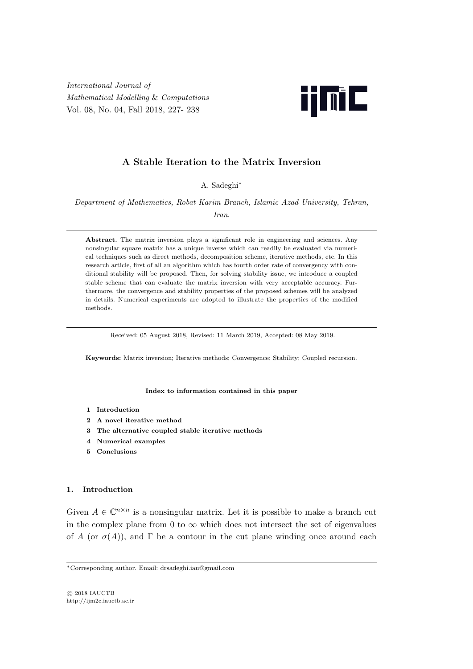*International Journal of Mathematical Modelling* & *Computations* Vol. 08, No. 04, Fall 2018, 227- 238



# **A Stable Iteration to the Matrix Inversion**

A. Sadeghi*∗*

*Department of Mathematics, Robat Karim Branch, Islamic Azad University, Tehran, Iran*.

Abstract. The matrix inversion plays a significant role in engineering and sciences. Any nonsingular square matrix has a unique inverse which can readily be evaluated via numerical techniques such as direct methods, decomposition scheme, iterative methods, etc. In this research article, first of all an algorithm which has fourth order rate of convergency with conditional stability will be proposed. Then, for solving stability issue, we introduce a coupled stable scheme that can evaluate the matrix inversion with very acceptable accuracy. Furthermore, the convergence and stability properties of the proposed schemes will be analyzed in details. Numerical experiments are adopted to illustrate the properties of the modified methods.

Received: 05 August 2018, Revised: 11 March 2019, Accepted: 08 May 2019.

**Keywords:** Matrix inversion; Iterative methods; Convergence; Stability; Coupled recursion.

## **Index to information contained in this paper**

- **1 Introduction**
- **2 A novel iterative method**
- **3 The alternative coupled stable iterative methods**
- **4 Numerical examples**
- **5 Conclusions**

## **1. Introduction**

Given  $A \in \mathbb{C}^{n \times n}$  is a nonsingular matrix. Let it is possible to make a branch cut in the complex plane from 0 to  $\infty$  which does not intersect the set of eigenvalues of *A* (or  $\sigma(A)$ ), and Γ be a contour in the cut plane winding once around each

*<sup>∗</sup>*Corresponding author. Email: drsadeghi.iau@gmail.com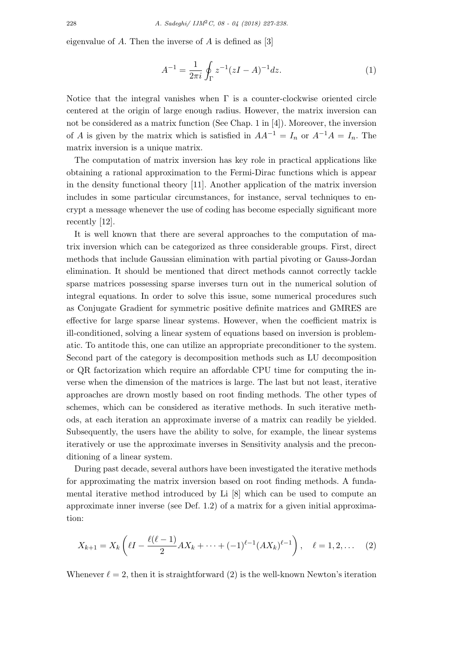eigenvalue of *A*. Then the inverse of *A* is defined as [3]

$$
A^{-1} = \frac{1}{2\pi i} \oint_{\Gamma} z^{-1} (zI - A)^{-1} dz.
$$
 (1)

Notice that the integral vanishes when  $\Gamma$  is a counter-clockwise oriented circle centered at the origin of large enough radius. However, the matrix inversion can not be considered as a matrix function (See Chap. 1 in [4]). Moreover, the inversion of *A* is given by the matrix which is satisfied in  $AA^{-1} = I_n$  or  $A^{-1}A = I_n$ . The matrix inversion is a unique matrix.

The computation of matrix inversion has key role in practical applications like obtaining a rational approximation to the Fermi-Dirac functions which is appear in the density functional theory [11]. Another application of the matrix inversion includes in some particular circumstances, for instance, serval techniques to encrypt a message whenever the use of coding has become especially significant more recently [12].

It is well known that there are several approaches to the computation of matrix inversion which can be categorized as three considerable groups. First, direct methods that include Gaussian elimination with partial pivoting or Gauss-Jordan elimination. It should be mentioned that direct methods cannot correctly tackle sparse matrices possessing sparse inverses turn out in the numerical solution of integral equations. In order to solve this issue, some numerical procedures such as Conjugate Gradient for symmetric positive definite matrices and GMRES are effective for large sparse linear systems. However, when the coefficient matrix is ill-conditioned, solving a linear system of equations based on inversion is problematic. To antitode this, one can utilize an appropriate preconditioner to the system. Second part of the category is decomposition methods such as LU decomposition or QR factorization which require an affordable CPU time for computing the inverse when the dimension of the matrices is large. The last but not least, iterative approaches are drown mostly based on root finding methods. The other types of schemes, which can be considered as iterative methods. In such iterative methods, at each iteration an approximate inverse of a matrix can readily be yielded. Subsequently, the users have the ability to solve, for example, the linear systems iteratively or use the approximate inverses in Sensitivity analysis and the preconditioning of a linear system.

During past decade, several authors have been investigated the iterative methods for approximating the matrix inversion based on root finding methods. A fundamental iterative method introduced by Li [8] which can be used to compute an approximate inner inverse (see Def. 1.2) of a matrix for a given initial approximation:

$$
X_{k+1} = X_k \left( \ell I - \frac{\ell(\ell-1)}{2} A X_k + \dots + (-1)^{\ell-1} (A X_k)^{\ell-1} \right), \quad \ell = 1, 2, \dots \quad (2)
$$

Whenever  $\ell = 2$ , then it is straightforward (2) is the well-known Newton's iteration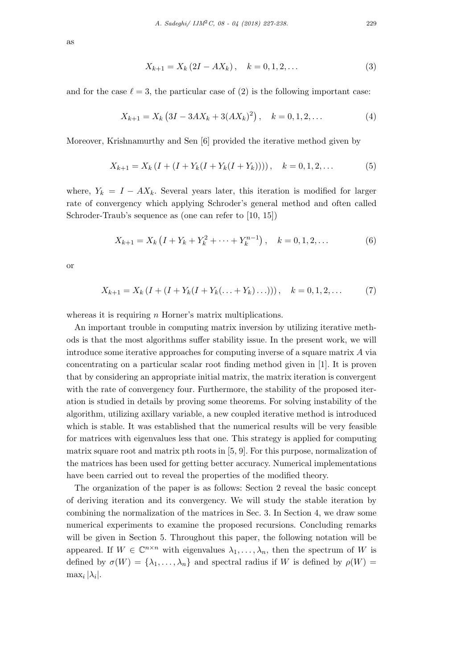$$
X_{k+1} = X_k (2I - AX_k), \quad k = 0, 1, 2, \dots
$$
 (3)

and for the case  $\ell = 3$ , the particular case of (2) is the following important case:

$$
X_{k+1} = X_k \left( 3I - 3AX_k + 3(AX_k)^2 \right), \quad k = 0, 1, 2, \dots \tag{4}
$$

Moreover, Krishnamurthy and Sen [6] provided the iterative method given by

$$
X_{k+1} = X_k \left( I + (I + Y_k(I + Y_k(I + Y_k)))) \right), \quad k = 0, 1, 2, \dots \tag{5}
$$

where,  $Y_k = I - AX_k$ . Several years later, this iteration is modified for larger rate of convergency which applying Schroder's general method and often called Schroder-Traub's sequence as (one can refer to [10, 15])

$$
X_{k+1} = X_k \left( I + Y_k + Y_k^2 + \dots + Y_k^{n-1} \right), \quad k = 0, 1, 2, \dots \tag{6}
$$

or

$$
X_{k+1} = X_k \left( I + (I + Y_k(I + Y_k(\dots + Y_k)\dots))) \right), \quad k = 0, 1, 2, \dots \tag{7}
$$

whereas it is requiring *n* Horner's matrix multiplications.

An important trouble in computing matrix inversion by utilizing iterative methods is that the most algorithms suffer stability issue. In the present work, we will introduce some iterative approaches for computing inverse of a square matrix *A* via concentrating on a particular scalar root finding method given in [1]. It is proven that by considering an appropriate initial matrix, the matrix iteration is convergent with the rate of convergency four. Furthermore, the stability of the proposed iteration is studied in details by proving some theorems. For solving instability of the algorithm, utilizing axillary variable, a new coupled iterative method is introduced which is stable. It was established that the numerical results will be very feasible for matrices with eigenvalues less that one. This strategy is applied for computing matrix square root and matrix pth roots in [5, 9]. For this purpose, normalization of the matrices has been used for getting better accuracy. Numerical implementations have been carried out to reveal the properties of the modified theory.

The organization of the paper is as follows: Section 2 reveal the basic concept of deriving iteration and its convergency. We will study the stable iteration by combining the normalization of the matrices in Sec. 3. In Section 4, we draw some numerical experiments to examine the proposed recursions. Concluding remarks will be given in Section 5. Throughout this paper, the following notation will be appeared. If  $W \in \mathbb{C}^{n \times n}$  with eigenvalues  $\lambda_1, \ldots, \lambda_n$ , then the spectrum of *W* is defined by  $\sigma(W) = {\lambda_1, \ldots, \lambda_n}$  and spectral radius if *W* is defined by  $\rho(W)$  $\max_i |\lambda_i|$ .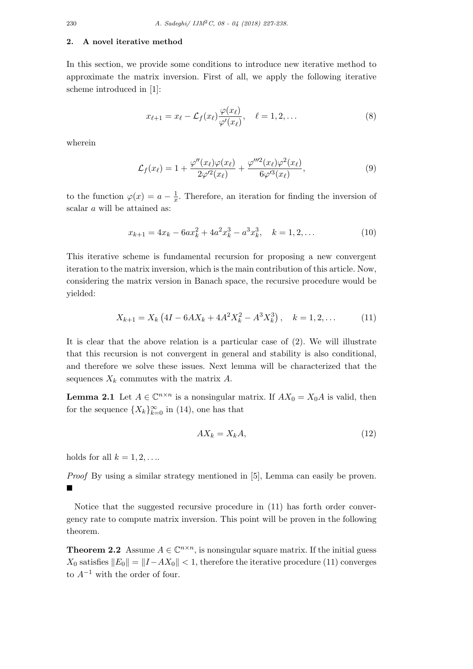## **2. A novel iterative method**

In this section, we provide some conditions to introduce new iterative method to approximate the matrix inversion. First of all, we apply the following iterative scheme introduced in [1]:

$$
x_{\ell+1} = x_{\ell} - \mathcal{L}_f(x_{\ell}) \frac{\varphi(x_{\ell})}{\varphi'(x_{\ell})}, \quad \ell = 1, 2, \dots
$$
 (8)

wherein

$$
\mathcal{L}_f(x_\ell) = 1 + \frac{\varphi''(x_\ell)\varphi(x_\ell)}{2\varphi'^2(x_\ell)} + \frac{\varphi'''^2(x_\ell)\varphi^2(x_\ell)}{6\varphi'^3(x_\ell)},\tag{9}
$$

to the function  $\varphi(x) = a - \frac{1}{x}$  $\frac{1}{x}$ . Therefore, an iteration for finding the inversion of scalar *a* will be attained as:

$$
x_{k+1} = 4x_k - 6ax_k^2 + 4a^2x_k^3 - a^3x_k^3, \quad k = 1, 2, \dots
$$
 (10)

This iterative scheme is fundamental recursion for proposing a new convergent iteration to the matrix inversion, which is the main contribution of this article. Now, considering the matrix version in Banach space, the recursive procedure would be yielded:

$$
X_{k+1} = X_k \left( 4I - 6AX_k + 4A^2 X_k^2 - A^3 X_k^3 \right), \quad k = 1, 2, \dots \tag{11}
$$

It is clear that the above relation is a particular case of (2). We will illustrate that this recursion is not convergent in general and stability is also conditional, and therefore we solve these issues. Next lemma will be characterized that the sequences  $X_k$  commutes with the matrix  $A$ .

**Lemma 2.1** Let  $A \in \mathbb{C}^{n \times n}$  is a nonsingular matrix. If  $AX_0 = X_0A$  is valid, then for the sequence  ${X_k}_{k=0}^\infty$  in (14), one has that

$$
AX_k = X_k A,\tag{12}
$$

holds for all  $k = 1, 2, \ldots$ .

*Proof* By using a similar strategy mentioned in [5], Lemma can easily be proven. ■

Notice that the suggested recursive procedure in (11) has forth order convergency rate to compute matrix inversion. This point will be proven in the following theorem.

**Theorem 2.2** Assume  $A \in \mathbb{C}^{n \times n}$ , is nonsingular square matrix. If the initial guess *X*<sub>0</sub> satisfies  $||E_0|| = ||I - AX_0|| < 1$ , therefore the iterative procedure (11) converges to *A−*<sup>1</sup> with the order of four.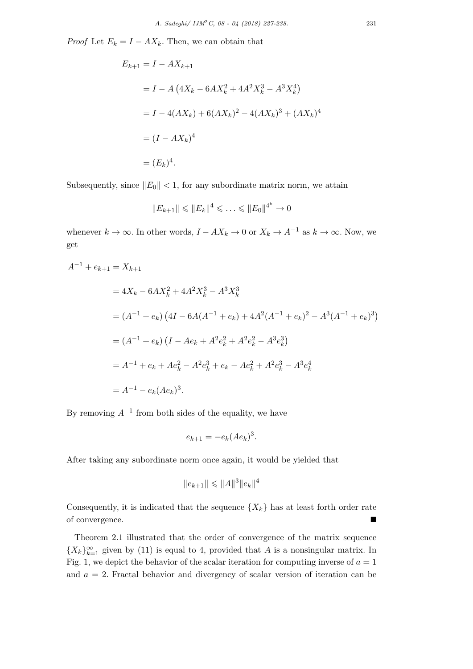*Proof* Let  $E_k = I - AX_k$ . Then, we can obtain that

$$
E_{k+1} = I - AX_{k+1}
$$
  
=  $I - A(4X_k - 6AX_k^2 + 4A^2X_k^3 - A^3X_k^4)$   
=  $I - 4(AX_k) + 6(AX_k)^2 - 4(AX_k)^3 + (AX_k)^4$   
=  $(I - AX_k)^4$   
=  $(E_k)^4$ .

Subsequently, since  $||E_0|| < 1$ , for any subordinate matrix norm, we attain

$$
||E_{k+1}|| \leq ||E_k||^4 \leq \ldots \leq ||E_0||^{4^k} \to 0
$$

whenever  $k \to \infty$ . In other words,  $I - AX_k \to 0$  or  $X_k \to A^{-1}$  as  $k \to \infty$ . Now, we get

$$
A^{-1} + e_{k+1} = X_{k+1}
$$
  
=  $4X_k - 6AX_k^2 + 4A^2X_k^3 - A^3X_k^3$   
=  $(A^{-1} + e_k) (4I - 6A(A^{-1} + e_k) + 4A^2(A^{-1} + e_k)^2 - A^3(A^{-1} + e_k)^3)$   
=  $(A^{-1} + e_k) (I - Ae_k + A^2e_k^2 + A^2e_k^2 - A^3e_k^3)$   
=  $A^{-1} + e_k + Ae_k^2 - A^2e_k^3 + e_k - Ae_k^2 + A^2e_k^3 - A^3e_k^4$   
=  $A^{-1} - e_k(Ae_k)^3$ .

By removing  $A^{-1}$  from both sides of the equality, we have

$$
e_{k+1} = -e_k(Ae_k)^3.
$$

After taking any subordinate norm once again, it would be yielded that

$$
||e_{k+1}|| \leq ||A||^3 ||e_k||^4
$$

Consequently, it is indicated that the sequence  $\{X_k\}$  has at least forth order rate of convergence.

Theorem 2.1 illustrated that the order of convergence of the matrix sequence  ${X_k}_{k=1}^{\infty}$  given by (11) is equal to 4, provided that *A* is a nonsingular matrix. In Fig. 1, we depict the behavior of the scalar iteration for computing inverse of  $a = 1$ and *a* = 2. Fractal behavior and divergency of scalar version of iteration can be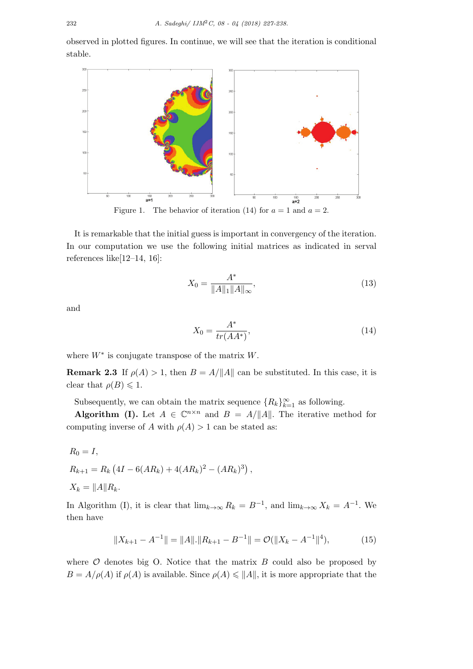observed in plotted figures. In continue, we will see that the iteration is conditional stable.



It is remarkable that the initial guess is important in convergency of the iteration. In our computation we use the following initial matrices as indicated in serval references like[12–14, 16]:

$$
X_0 = \frac{A^*}{\|A\|_1 \|A\|_\infty},\tag{13}
$$

and

$$
X_0 = \frac{A^*}{tr(AA^*)},\tag{14}
$$

where *W∗* is conjugate transpose of the matrix *W*.

**Remark 2.3** If  $\rho(A) > 1$ , then  $B = A/||A||$  can be substituted. In this case, it is clear that  $\rho(B) \leq 1$ .

Subsequently, we can obtain the matrix sequence  ${R_k}_{k=1}^{\infty}$  as following.

**Algorithm (I).** Let  $A \in \mathbb{C}^{n \times n}$  and  $B = A/||A||$ . The iterative method for computing inverse of *A* with  $\rho(A) > 1$  can be stated as:

$$
R_0 = I,
$$
  
\n
$$
R_{k+1} = R_k (4I - 6(AR_k) + 4(AR_k)^2 - (AR_k)^3),
$$
  
\n
$$
X_k = ||A|| R_k.
$$

In Algorithm (I), it is clear that  $\lim_{k\to\infty} R_k = B^{-1}$ , and  $\lim_{k\to\infty} X_k = A^{-1}$ . We then have

$$
||X_{k+1} - A^{-1}|| = ||A|| \cdot ||R_{k+1} - B^{-1}|| = \mathcal{O}(|X_k - A^{-1}||^4), \tag{15}
$$

where  $\mathcal O$  denotes big O. Notice that the matrix  $B$  could also be proposed by  $B = A/\rho(A)$  if  $\rho(A)$  is available. Since  $\rho(A) \le ||A||$ , it is more appropriate that the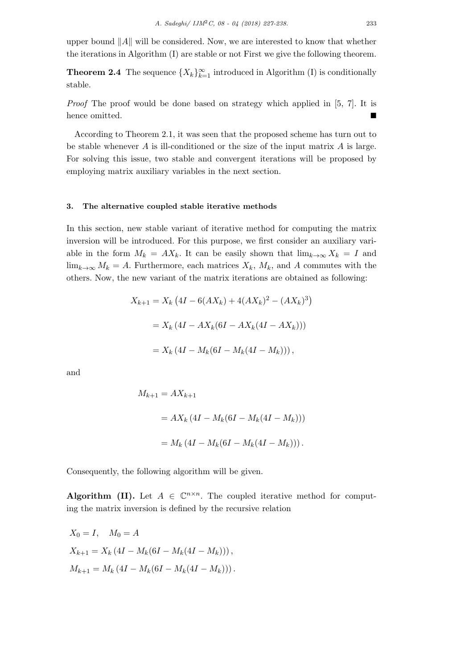upper bound *∥A∥* will be considered. Now, we are interested to know that whether the iterations in Algorithm (I) are stable or not First we give the following theorem.

**Theorem 2.4** The sequence  $\{X_k\}_{k=1}^{\infty}$  introduced in Algorithm (I) is conditionally stable.

*Proof* The proof would be done based on strategy which applied in [5, 7]. It is hence omitted.

According to Theorem 2.1, it was seen that the proposed scheme has turn out to be stable whenever *A* is ill-conditioned or the size of the input matrix *A* is large. For solving this issue, two stable and convergent iterations will be proposed by employing matrix auxiliary variables in the next section.

## **3. The alternative coupled stable iterative methods**

In this section, new stable variant of iterative method for computing the matrix inversion will be introduced. For this purpose, we first consider an auxiliary variable in the form  $M_k = AX_k$ . It can be easily shown that  $\lim_{k\to\infty} X_k = I$  and  $\lim_{k\to\infty} M_k = A$ . Furthermore, each matrices  $X_k$ ,  $M_k$ , and A commutes with the others. Now, the new variant of the matrix iterations are obtained as following:

$$
X_{k+1} = X_k (4I - 6(AX_k) + 4(AX_k)^2 - (AX_k)^3)
$$
  
=  $X_k (4I - AX_k(6I - AX_k(4I - AX_k)))$   
=  $X_k (4I - M_k(6I - M_k(4I - M_k)))$ ,

and

$$
M_{k+1} = AX_{k+1}
$$
  
=  $AX_k (4I - M_k(6I - M_k(4I - M_k)))$   
=  $M_k (4I - M_k(6I - M_k(4I - M_k)))$ .

Consequently, the following algorithm will be given.

**Algorithm (II).** Let  $A \in \mathbb{C}^{n \times n}$ . The coupled iterative method for computing the matrix inversion is defined by the recursive relation

$$
X_0 = I, \quad M_0 = A
$$
  
\n
$$
X_{k+1} = X_k (4I - M_k(6I - M_k(4I - M_k))),
$$
  
\n
$$
M_{k+1} = M_k (4I - M_k(6I - M_k(4I - M_k))).
$$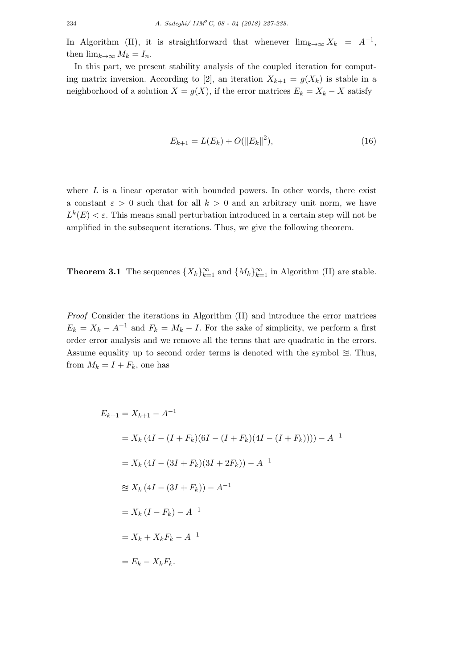In Algorithm (II), it is straightforward that whenever  $\lim_{k\to\infty} X_k = A^{-1}$ , then  $\lim_{k\to\infty} M_k = I_n$ .

In this part, we present stability analysis of the coupled iteration for computing matrix inversion. According to [2], an iteration  $X_{k+1} = g(X_k)$  is stable in a neighborhood of a solution  $X = g(X)$ , if the error matrices  $E_k = X_k - X$  satisfy

$$
E_{k+1} = L(E_k) + O(||E_k||^2),\tag{16}
$$

where *L* is a linear operator with bounded powers. In other words, there exist a constant  $\varepsilon > 0$  such that for all  $k > 0$  and an arbitrary unit norm, we have  $L^k(E) < \varepsilon$ . This means small perturbation introduced in a certain step will not be amplified in the subsequent iterations. Thus, we give the following theorem.

**Theorem 3.1** The sequences  $\{X_k\}_{k=1}^{\infty}$  and  $\{M_k\}_{k=1}^{\infty}$  in Algorithm (II) are stable.

*Proof* Consider the iterations in Algorithm (II) and introduce the error matrices  $E_k = X_k - A^{-1}$  and  $F_k = M_k - I$ . For the sake of simplicity, we perform a first order error analysis and we remove all the terms that are quadratic in the errors. Assume equality up to second order terms is denoted with the symbol  $\approx$ . Thus, from  $M_k = I + F_k$ , one has

$$
E_{k+1} = X_{k+1} - A^{-1}
$$
  
=  $X_k (4I - (I + F_k)(6I - (I + F_k)(4I - (I + F_k)))) - A^{-1}$   
=  $X_k (4I - (3I + F_k)(3I + 2F_k)) - A^{-1}$   
 $\approx X_k (4I - (3I + F_k)) - A^{-1}$   
=  $X_k (I - F_k) - A^{-1}$   
=  $X_k + X_k F_k - A^{-1}$   
=  $E_k - X_k F_k$ .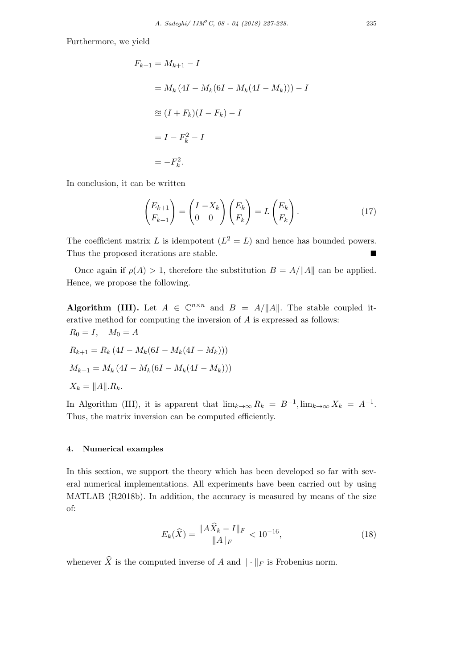Furthermore, we yield

$$
F_{k+1} = M_{k+1} - I
$$
  
=  $M_k (4I - M_k(6I - M_k(4I - M_k))) - I$   
 $\approx (I + F_k)(I - F_k) - I$   
=  $I - F_k^2 - I$   
=  $-F_k^2$ .

In conclusion, it can be written

$$
\begin{pmatrix} E_{k+1} \\ F_{k+1} \end{pmatrix} = \begin{pmatrix} I - X_k \\ 0 & 0 \end{pmatrix} \begin{pmatrix} E_k \\ F_k \end{pmatrix} = L \begin{pmatrix} E_k \\ F_k \end{pmatrix}.
$$
 (17)

The coefficient matrix L is idempotent  $(L^2 = L)$  and hence has bounded powers. Thus the proposed iterations are stable. ■

Once again if  $\rho(A) > 1$ , therefore the substitution  $B = A/||A||$  can be applied. Hence, we propose the following.

**Algorithm (III).** Let  $A \in \mathbb{C}^{n \times n}$  and  $B = A/||A||$ . The stable coupled iterative method for computing the inversion of *A* is expressed as follows:  $R_0 = I$ ,  $M_0 = A$ 

$$
R_{k+1} = R_k (4I - M_k(6I - M_k(4I - M_k)))
$$
  

$$
M_{k+1} = M_k (4I - M_k(6I - M_k(4I - M_k)))
$$
  

$$
X_k = ||A||.R_k.
$$

In Algorithm (III), it is apparent that  $\lim_{k\to\infty} R_k = B^{-1}$ ,  $\lim_{k\to\infty} X_k = A^{-1}$ . Thus, the matrix inversion can be computed efficiently.

# **4. Numerical examples**

In this section, we support the theory which has been developed so far with several numerical implementations. All experiments have been carried out by using MATLAB (R2018b). In addition, the accuracy is measured by means of the size of:

$$
E_k(\widehat{X}) = \frac{\|A\widehat{X}_k - I\|_F}{\|A\|_F} < 10^{-16},\tag{18}
$$

whenever  $\hat{X}$  is the computed inverse of *A* and  $\|\cdot\|_F$  is Frobenius norm.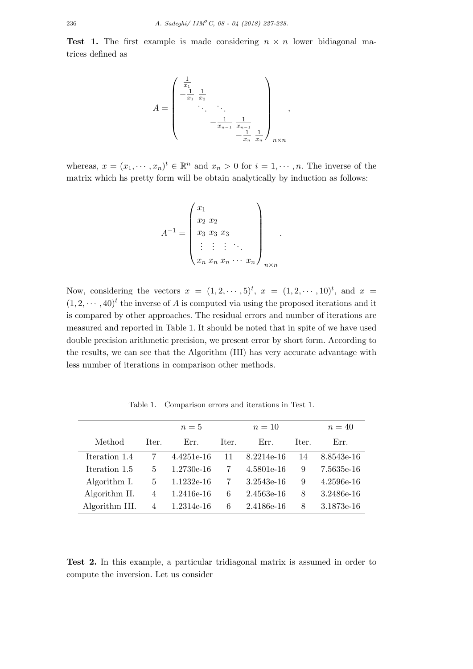**Test 1.** The first example is made considering  $n \times n$  lower bidiagonal matrices defined as

$$
A = \begin{pmatrix} \frac{1}{x_1} & & & \\ -\frac{1}{x_1} & \frac{1}{x_2} & & \\ & \ddots & \ddots & \\ & & -\frac{1}{x_{n-1}} & \frac{1}{x_{n-1}} \\ & & & -\frac{1}{x_n} & \frac{1}{x_n} \end{pmatrix}_{n \times n},
$$

whereas,  $x = (x_1, \dots, x_n)^t \in \mathbb{R}^n$  and  $x_n > 0$  for  $i = 1, \dots, n$ . The inverse of the matrix which hs pretty form will be obtain analytically by induction as follows:

$$
A^{-1} = \begin{pmatrix} x_1 \\ x_2 & x_2 \\ x_3 & x_3 & x_3 \\ \vdots & \vdots & \vdots \\ x_n & x_n & x_n & \cdots & x_n \end{pmatrix}_{n \times n}
$$

*.*

Now, considering the vectors  $x = (1, 2, \cdots, 5)^t$ ,  $x = (1, 2, \cdots, 10)^t$ , and  $x =$  $(1, 2, \dots, 40)^t$  the inverse of *A* is computed via using the proposed iterations and it is compared by other approaches. The residual errors and number of iterations are measured and reported in Table 1. It should be noted that in spite of we have used double precision arithmetic precision, we present error by short form. According to the results, we can see that the Algorithm (III) has very accurate advantage with less number of iterations in comparison other methods.

|                |                | $n=5$        |       | $n=10$     |       | $n=40$     |
|----------------|----------------|--------------|-------|------------|-------|------------|
| Method         | Iter.          | Err.         | Iter. | Err.       | Iter. | Err.       |
| Iteration 1.4  |                | 4.4251e-16   | 11    | 8.2214e-16 | 14    | 8.8543e-16 |
| Iteration 1.5  | 5              | $1.2730e-16$ | 7     | 4.5801e-16 | 9     | 7.5635e-16 |
| Algorithm I.   | 5              | $1.1232e-16$ | 7     | 3.2543e-16 | 9     | 4.2596e-16 |
| Algorithm II.  | 4              | $1.2416e-16$ | 6     | 2.4563e-16 | 8     | 3.2486e-16 |
| Algorithm III. | $\overline{4}$ | 1.2314e-16   | 6     | 2.4186e-16 | 8     | 3.1873e-16 |

Table 1. Comparison errors and iterations in Test 1.

**Test 2.** In this example, a particular tridiagonal matrix is assumed in order to compute the inversion. Let us consider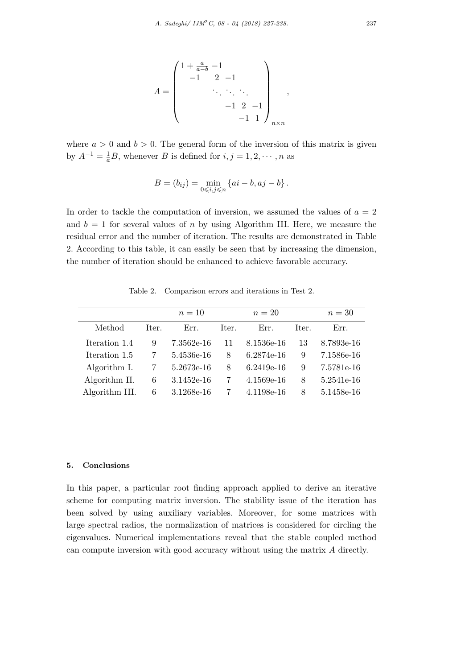$$
A = \begin{pmatrix} 1 + \frac{a}{a-b} - 1 \\ -1 & 2 & -1 \\ & \ddots & \ddots & \ddots \\ & & -1 & 2 & -1 \\ & & & -1 & 1 \end{pmatrix}_{n \times n},
$$

where  $a > 0$  and  $b > 0$ . The general form of the inversion of this matrix is given by  $A^{-1} = \frac{1}{a}B$ , whenever *B* is defined for  $i, j = 1, 2, \cdots, n$  as

$$
B = (b_{ij}) = \min_{0 \le i,j \le n} \{ ai - b, aj - b \}.
$$

In order to tackle the computation of inversion, we assumed the values of  $a = 2$ and  $b = 1$  for several values of *n* by using Algorithm III. Here, we measure the residual error and the number of iteration. The results are demonstrated in Table 2. According to this table, it can easily be seen that by increasing the dimension, the number of iteration should be enhanced to achieve favorable accuracy.

 $n = 10$   $n = 20$   $n = 30$ Method Iter. Err. Iter. Err. Iter. Err. Iteration 1.4 9 7.3562e-16 11 8.1536e-16 13 8.7893e-16 Iteration 1.5 7 5.4536e-16 8 6.2874e-16 9 7.1586e-16 Algorithm I. 7 5.2673e-16 8 6.2419e-16 9 7.5781e-16 Algorithm II. 6 3.1452e-16 7 4.1569e-16 8 5.2541e-16 Algorithm III. 6 3.1268e-16 7 4.1198e-16 8 5.1458e-16

Table 2. Comparison errors and iterations in Test 2.

## **5. Conclusions**

In this paper, a particular root finding approach applied to derive an iterative scheme for computing matrix inversion. The stability issue of the iteration has been solved by using auxiliary variables. Moreover, for some matrices with large spectral radios, the normalization of matrices is considered for circling the eigenvalues. Numerical implementations reveal that the stable coupled method can compute inversion with good accuracy without using the matrix *A* directly.